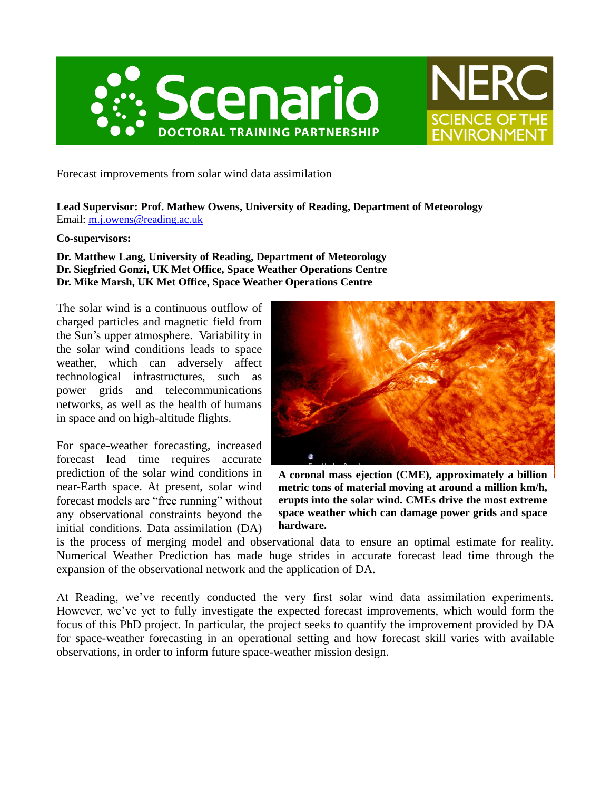



Forecast improvements from solar wind data assimilation

**Lead Supervisor: Prof. Mathew Owens, University of Reading, Department of Meteorology** Email: [m.j.owens@reading.ac.uk](mailto:m.j.owens@reading.ac.uk)

## **Co-supervisors:**

**Dr. Matthew Lang, University of Reading, Department of Meteorology Dr. Siegfried Gonzi, UK Met Office, Space Weather Operations Centre Dr. Mike Marsh, UK Met Office, Space Weather Operations Centre**

The solar wind is a continuous outflow of charged particles and magnetic field from the Sun's upper atmosphere. Variability in the solar wind conditions leads to space weather, which can adversely affect technological infrastructures, such as power grids and telecommunications networks, as well as the health of humans in space and on high-altitude flights.

For space-weather forecasting, increased forecast lead time requires accurate prediction of the solar wind conditions in near-Earth space. At present, solar wind forecast models are "free running" without any observational constraints beyond the initial conditions. Data assimilation (DA)



**A coronal mass ejection (CME), approximately a billion metric tons of material moving at around a million km/h, erupts into the solar wind. CMEs drive the most extreme space weather which can damage power grids and space hardware.**

is the process of merging model and observational data to ensure an optimal estimate for reality. Numerical Weather Prediction has made huge strides in accurate forecast lead time through the expansion of the observational network and the application of DA.

At Reading, we've recently conducted the very first solar wind data assimilation experiments. However, we've yet to fully investigate the expected forecast improvements, which would form the focus of this PhD project. In particular, the project seeks to quantify the improvement provided by DA for space-weather forecasting in an operational setting and how forecast skill varies with available observations, in order to inform future space-weather mission design.